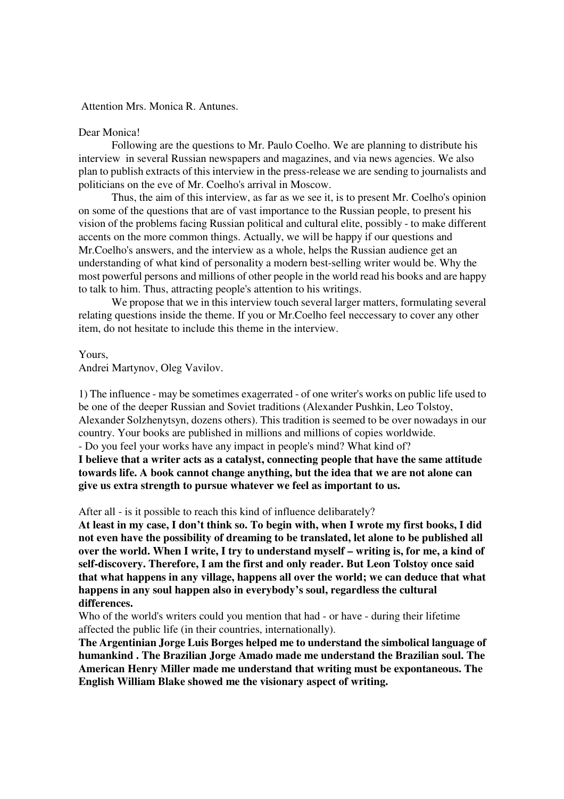Attention Mrs. Monica R. Antunes.

## Dear Monica!

 Following are the questions to Mr. Paulo Coelho. We are planning to distribute his interview in several Russian newspapers and magazines, and via news agencies. We also plan to publish extracts of this interview in the press-release we are sending to journalists and politicians on the eve of Mr. Coelho's arrival in Moscow.

 Thus, the aim of this interview, as far as we see it, is to present Mr. Coelho's opinion on some of the questions that are of vast importance to the Russian people, to present his vision of the problems facing Russian political and cultural elite, possibly - to make different accents on the more common things. Actually, we will be happy if our questions and Mr.Coelho's answers, and the interview as a whole, helps the Russian audience get an understanding of what kind of personality a modern best-selling writer would be. Why the most powerful persons and millions of other people in the world read his books and are happy to talk to him. Thus, attracting people's attention to his writings.

 We propose that we in this interview touch several larger matters, formulating several relating questions inside the theme. If you or Mr.Coelho feel neccessary to cover any other item, do not hesitate to include this theme in the interview.

Yours,

Andrei Martynov, Oleg Vavilov.

1) The influence - may be sometimes exagerrated - of one writer's works on public life used to be one of the deeper Russian and Soviet traditions (Alexander Pushkin, Leo Tolstoy, Alexander Solzhenytsyn, dozens others). This tradition is seemed to be over nowadays in our country. Your books are published in millions and millions of copies worldwide. - Do you feel your works have any impact in people's mind? What kind of?

**I believe that a writer acts as a catalyst, connecting people that have the same attitude towards life. A book cannot change anything, but the idea that we are not alone can give us extra strength to pursue whatever we feel as important to us.** 

After all - is it possible to reach this kind of influence delibarately?

**At least in my case, I don't think so. To begin with, when I wrote my first books, I did not even have the possibility of dreaming to be translated, let alone to be published all over the world. When I write, I try to understand myself – writing is, for me, a kind of self-discovery. Therefore, I am the first and only reader. But Leon Tolstoy once said that what happens in any village, happens all over the world; we can deduce that what happens in any soul happen also in everybody's soul, regardless the cultural differences.** 

Who of the world's writers could you mention that had - or have - during their lifetime affected the public life (in their countries, internationally).

**The Argentinian Jorge Luis Borges helped me to understand the simbolical language of humankind . The Brazilian Jorge Amado made me understand the Brazilian soul. The American Henry Miller made me understand that writing must be expontaneous. The English William Blake showed me the visionary aspect of writing.**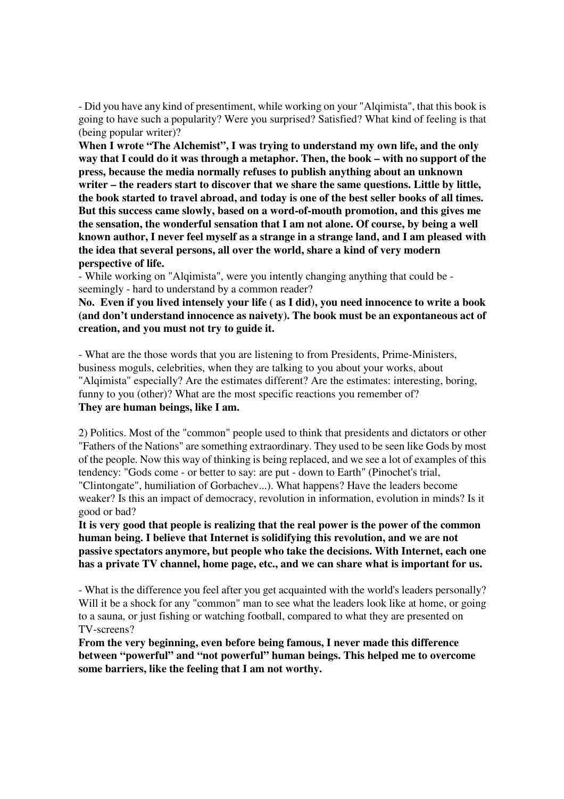- Did you have any kind of presentiment, while working on your "Alqimista", that this book is going to have such a popularity? Were you surprised? Satisfied? What kind of feeling is that (being popular writer)?

**When I wrote "The Alchemist", I was trying to understand my own life, and the only way that I could do it was through a metaphor. Then, the book – with no support of the press, because the media normally refuses to publish anything about an unknown writer – the readers start to discover that we share the same questions. Little by little, the book started to travel abroad, and today is one of the best seller books of all times. But this success came slowly, based on a word-of-mouth promotion, and this gives me the sensation, the wonderful sensation that I am not alone. Of course, by being a well known author, I never feel myself as a strange in a strange land, and I am pleased with the idea that several persons, all over the world, share a kind of very modern perspective of life.** 

- While working on "Alqimista", were you intently changing anything that could be seemingly - hard to understand by a common reader?

**No. Even if you lived intensely your life ( as I did), you need innocence to write a book (and don't understand innocence as naivety). The book must be an expontaneous act of creation, and you must not try to guide it.** 

- What are the those words that you are listening to from Presidents, Prime-Ministers, business moguls, celebrities, when they are talking to you about your works, about "Alqimista" especially? Are the estimates different? Are the estimates: interesting, boring, funny to you (other)? What are the most specific reactions you remember of? **They are human beings, like I am.** 

2) Politics. Most of the "common" people used to think that presidents and dictators or other "Fathers of the Nations" are something extraordinary. They used to be seen like Gods by most of the people. Now this way of thinking is being replaced, and we see a lot of examples of this tendency: "Gods come - or better to say: are put - down to Earth" (Pinochet's trial, "Clintongate", humiliation of Gorbachev...). What happens? Have the leaders become weaker? Is this an impact of democracy, revolution in information, evolution in minds? Is it good or bad?

**It is very good that people is realizing that the real power is the power of the common human being. I believe that Internet is solidifying this revolution, and we are not passive spectators anymore, but people who take the decisions. With Internet, each one has a private TV channel, home page, etc., and we can share what is important for us.** 

- What is the difference you feel after you get acquainted with the world's leaders personally? Will it be a shock for any "common" man to see what the leaders look like at home, or going to a sauna, or just fishing or watching football, compared to what they are presented on TV-screens?

**From the very beginning, even before being famous, I never made this difference between "powerful" and "not powerful" human beings. This helped me to overcome some barriers, like the feeling that I am not worthy.**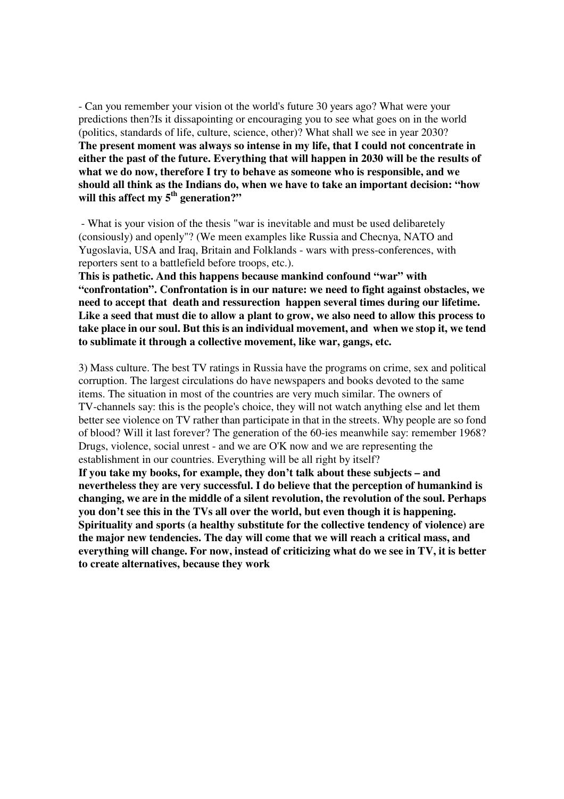- Can you remember your vision ot the world's future 30 years ago? What were your predictions then?Is it dissapointing or encouraging you to see what goes on in the world (politics, standards of life, culture, science, other)? What shall we see in year 2030? **The present moment was always so intense in my life, that I could not concentrate in either the past of the future. Everything that will happen in 2030 will be the results of what we do now, therefore I try to behave as someone who is responsible, and we should all think as the Indians do, when we have to take an important decision: "how will this affect my 5th generation?"** 

 - What is your vision of the thesis "war is inevitable and must be used delibaretely (consiously) and openly"? (We meen examples like Russia and Checnya, NATO and Yugoslavia, USA and Iraq, Britain and Folklands - wars with press-conferences, with reporters sent to a battlefield before troops, etc.).

**This is pathetic. And this happens because mankind confound "war" with "confrontation". Confrontation is in our nature: we need to fight against obstacles, we need to accept that death and ressurection happen several times during our lifetime. Like a seed that must die to allow a plant to grow, we also need to allow this process to take place in our soul. But this is an individual movement, and when we stop it, we tend to sublimate it through a collective movement, like war, gangs, etc.** 

3) Mass culture. The best TV ratings in Russia have the programs on crime, sex and political corruption. The largest circulations do have newspapers and books devoted to the same items. The situation in most of the countries are very much similar. The owners of TV-channels say: this is the people's choice, they will not watch anything else and let them better see violence on TV rather than participate in that in the streets. Why people are so fond of blood? Will it last forever? The generation of the 60-ies meanwhile say: remember 1968? Drugs, violence, social unrest - and we are O'K now and we are representing the establishment in our countries. Everything will be all right by itself? **If you take my books, for example, they don't talk about these subjects – and nevertheless they are very successful. I do believe that the perception of humankind is changing, we are in the middle of a silent revolution, the revolution of the soul. Perhaps you don't see this in the TVs all over the world, but even though it is happening. Spirituality and sports (a healthy substitute for the collective tendency of violence) are the major new tendencies. The day will come that we will reach a critical mass, and everything will change. For now, instead of criticizing what do we see in TV, it is better to create alternatives, because they work**